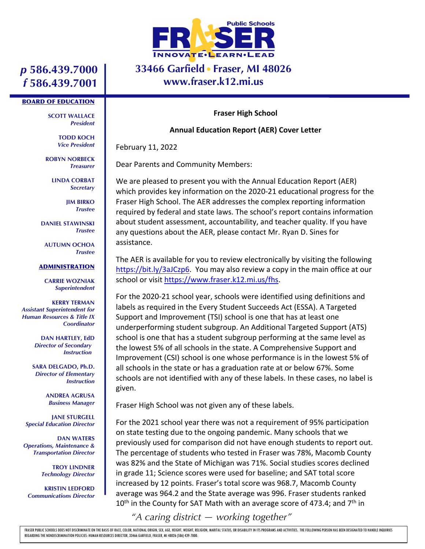

### **33466 Garfield Fraser, MI 48026 www.fraser.k12.mi.us**

## *p* **586.439.7000** *f* **586.439.7001**

#### BOARD OF EDUCATION

**SCOTT WALLACE** *President*

> **TODD KOCH** *Vice President*

**ROBYN NORBECK** *Treasurer*

> **LINDA CORBAT** *Secretary*

> > **JIM BIRKO** *Trustee*

**DANIEL STAWINSKI** *Trustee*

**AUTUMN OCHOA** *Trustee*

#### ADMINISTRATION

**CARRIE WOZNIAK** *Superintendent*

**KERRY TERMAN** *Assistant Superintendent for Human Resources & Title IX Coordinator*

> **DAN HARTLEY, EdD** *Director of Secondary Instruction*

**SARA DELGADO, Ph.D.** *Director of Elementary Instruction*

> **ANDREA AGRUSA** *Business Manager*

**JANE STURGELL** *Special Education Director*

**DAN WATERS** *Operations, Maintenance & Transportation Director*

> **TROY LINDNER** *Technology Director*

**KRISTIN LEDFORD** *Communications Director*

#### **Fraser High School**

### **Annual Education Report (AER) Cover Letter**

February 11, 2022

Dear Parents and Community Members:

We are pleased to present you with the Annual Education Report (AER) which provides key information on the 2020-21 educational progress for the Fraser High School. The AER addresses the complex reporting information required by federal and state laws. The school's report contains information about student assessment, accountability, and teacher quality. If you have any questions about the AER, please contact Mr. Ryan D. Sines for assistance.

The AER is available for you to review electronically by visiting the following https://bit.ly/3aJCzp6. You may also review a copy in the main office at our school or visit https://www.fraser.k12.mi.us/fhs.

For the 2020-21 school year, schools were identified using definitions and labels as required in the Every Student Succeeds Act (ESSA). A Targeted Support and Improvement (TSI) school is one that has at least one underperforming student subgroup. An Additional Targeted Support (ATS) school is one that has a student subgroup performing at the same level as the lowest 5% of all schools in the state. A Comprehensive Support and Improvement (CSI) school is one whose performance is in the lowest 5% of all schools in the state or has a graduation rate at or below 67%. Some schools are not identified with any of these labels. In these cases, no label is given.

Fraser High School was not given any of these labels.

For the 2021 school year there was not a requirement of 95% participation on state testing due to the ongoing pandemic. Many schools that we previously used for comparison did not have enough students to report out. The percentage of students who tested in Fraser was 78%, Macomb County was 82% and the State of Michigan was 71%. Social studies scores declined in grade 11; Science scores were used for baseline; and SAT total score increased by 12 points. Fraser's total score was 968.7, Macomb County average was 964.2 and the State average was 996. Fraser students ranked  $10^{\text{th}}$  in the County for SAT Math with an average score of 473.4; and 7<sup>th</sup> in

*"A caring district — working together"*

FRASER PUBLIC SCHOOLS DOES NOT DISCRIMINATE ON THE BASIS OF RACE, COLOR, NATIONAL ORIGIN, SEX, AGE, HEIGHT, WEIGHT, RELIGION, MARITAL STATUS, OR DISABILITY IN ITS PROGRAMS AND ACTIVITIES. THE FOLLOWING PERSON HAS BEEN DESI REGARDING THE NONDISCRIMINATION POLICIES: HUMAN RESOURCES DIRECTOR, 33466 GARFIELD, FRASER, MI 48026 (586) 439-7000.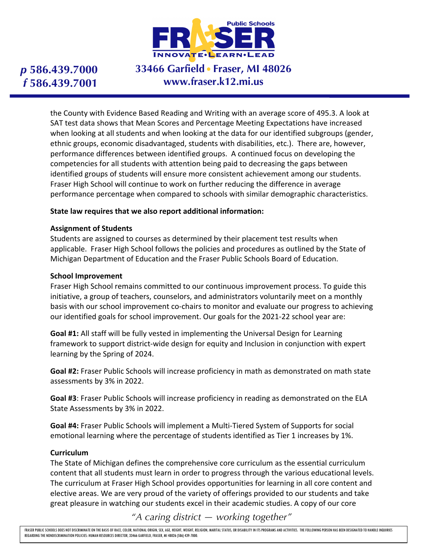

# **33466 Garfield Fraser, MI 48026 www.fraser.k12.mi.us**

the County with Evidence Based Reading and Writing with an average score of 495.3. A look at SAT test data shows that Mean Scores and Percentage Meeting Expectations have increased when looking at all students and when looking at the data for our identified subgroups (gender, ethnic groups, economic disadvantaged, students with disabilities, etc.). There are, however, performance differences between identified groups. A continued focus on developing the competencies for all students with attention being paid to decreasing the gaps between identified groups of students will ensure more consistent achievement among our students. Fraser High School will continue to work on further reducing the difference in average performance percentage when compared to schools with similar demographic characteristics.

### **State law requires that we also report additional information:**

#### **Assignment of Students**

Students are assigned to courses as determined by their placement test results when applicable. Fraser High School follows the policies and procedures as outlined by the State of Michigan Department of Education and the Fraser Public Schools Board of Education.

#### **School Improvement**

Fraser High School remains committed to our continuous improvement process. To guide this initiative, a group of teachers, counselors, and administrators voluntarily meet on a monthly basis with our school improvement co-chairs to monitor and evaluate our progress to achieving our identified goals for school improvement. Our goals for the 2021-22 school year are:

**Goal #1:** All staff will be fully vested in implementing the Universal Design for Learning framework to support district-wide design for equity and Inclusion in conjunction with expert learning by the Spring of 2024.

**Goal #2:** Fraser Public Schools will increase proficiency in math as demonstrated on math state assessments by 3% in 2022.

**Goal #3**: Fraser Public Schools will increase proficiency in reading as demonstrated on the ELA State Assessments by 3% in 2022.

**Goal #4:** Fraser Public Schools will implement a Multi-Tiered System of Supports for social emotional learning where the percentage of students identified as Tier 1 increases by 1%.

#### **Curriculum**

The State of Michigan defines the comprehensive core curriculum as the essential curriculum content that all students must learn in order to progress through the various educational levels. The curriculum at Fraser High School provides opportunities for learning in all core content and elective areas. We are very proud of the variety of offerings provided to our students and take great pleasure in watching our students excel in their academic studies. A copy of our core

*"A caring district — working together"*

FRASER PUBLIC SCHOOLS DOES NOT DISCRIMINATE ON THE BASIS OF RACE, COLOR, NATIONAL ORIGIN, SEX, AGE, HEIGHT, WEIGHT, RELIGION, MARITAL STATUS, OR DISABILITY IN ITS PROGRAMS AND ACTIVITIES. THE FOLLOWING PERSON HAS BEEN DESI REGARDING THE NONDISCRIMINATION POLICIES: HUMAN RESOURCES DIRECTOR, 33466 GARFIELD, FRASER, MI 48026 (586) 439-7000.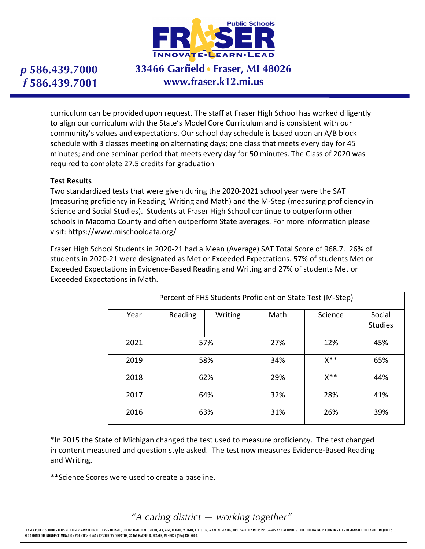

# **33466 Garfield Fraser, MI 48026 www.fraser.k12.mi.us**

curriculum can be provided upon request. The staff at Fraser High School has worked diligently to align our curriculum with the State's Model Core Curriculum and is consistent with our community's values and expectations. Our school day schedule is based upon an A/B block schedule with 3 classes meeting on alternating days; one class that meets every day for 45 minutes; and one seminar period that meets every day for 50 minutes. The Class of 2020 was required to complete 27.5 credits for graduation

#### **Test Results**

Two standardized tests that were given during the 2020-2021 school year were the SAT (measuring proficiency in Reading, Writing and Math) and the M-Step (measuring proficiency in Science and Social Studies). Students at Fraser High School continue to outperform other schools in Macomb County and often outperform State averages. For more information please visit: https://www.mischooldata.org/

Fraser High School Students in 2020-21 had a Mean (Average) SAT Total Score of 968.7. 26% of students in 2020-21 were designated as Met or Exceeded Expectations. 57% of students Met or Exceeded Expectations in Evidence-Based Reading and Writing and 27% of students Met or Exceeded Expectations in Math.

| Percent of FHS Students Proficient on State Test (M-Step) |         |         |      |         |                          |  |  |
|-----------------------------------------------------------|---------|---------|------|---------|--------------------------|--|--|
| Year                                                      | Reading | Writing | Math | Science | Social<br><b>Studies</b> |  |  |
| 2021                                                      | 57%     |         | 27%  | 12%     | 45%                      |  |  |
| 2019                                                      | 58%     |         | 34%  | $X^**$  | 65%                      |  |  |
| 2018                                                      | 62%     |         | 29%  | $X^**$  | 44%                      |  |  |
| 2017                                                      | 64%     |         | 32%  | 28%     | 41%                      |  |  |
| 2016                                                      | 63%     |         | 31%  | 26%     | 39%                      |  |  |

\*In 2015 the State of Michigan changed the test used to measure proficiency. The test changed in content measured and question style asked. The test now measures Evidence-Based Reading and Writing.

\*\*Science Scores were used to create a baseline.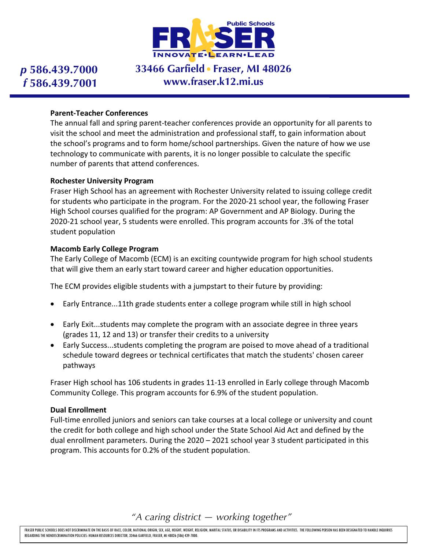

## **33466 Garfield Fraser, MI 48026 www.fraser.k12.mi.us**

#### **Parent-Teacher Conferences**

The annual fall and spring parent-teacher conferences provide an opportunity for all parents to visit the school and meet the administration and professional staff, to gain information about the school's programs and to form home/school partnerships. Given the nature of how we use technology to communicate with parents, it is no longer possible to calculate the specific number of parents that attend conferences.

#### **Rochester University Program**

Fraser High School has an agreement with Rochester University related to issuing college credit for students who participate in the program. For the 2020-21 school year, the following Fraser High School courses qualified for the program: AP Government and AP Biology. During the 2020-21 school year, 5 students were enrolled. This program accounts for .3% of the total student population

#### **Macomb Early College Program**

The Early College of Macomb (ECM) is an exciting countywide program for high school students that will give them an early start toward career and higher education opportunities.

The ECM provides eligible students with a jumpstart to their future by providing:

- Early Entrance...11th grade students enter a college program while still in high school
- Early Exit...students may complete the program with an associate degree in three years (grades 11, 12 and 13) or transfer their credits to a university
- Early Success...students completing the program are poised to move ahead of a traditional schedule toward degrees or technical certificates that match the students' chosen career pathways

Fraser High school has 106 students in grades 11-13 enrolled in Early college through Macomb Community College. This program accounts for 6.9% of the student population.

#### **Dual Enrollment**

Full-time enrolled juniors and seniors can take courses at a local college or university and count the credit for both college and high school under the State School Aid Act and defined by the dual enrollment parameters. During the 2020 – 2021 school year 3 student participated in this program. This accounts for 0.2% of the student population.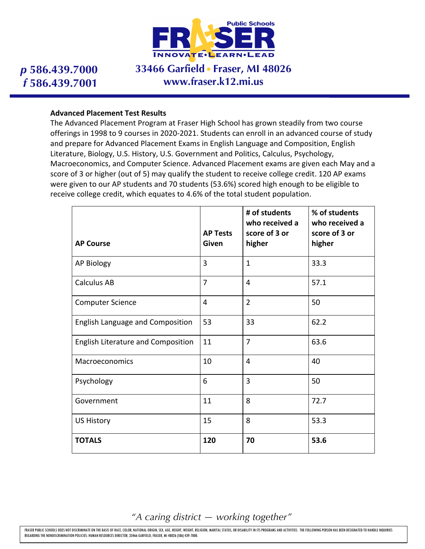

## **33466 Garfield Fraser, MI 48026 www.fraser.k12.mi.us**

#### **Advanced Placement Test Results**

The Advanced Placement Program at Fraser High School has grown steadily from two course offerings in 1998 to 9 courses in 2020-2021. Students can enroll in an advanced course of study and prepare for Advanced Placement Exams in English Language and Composition, English Literature, Biology, U.S. History, U.S. Government and Politics, Calculus, Psychology, Macroeconomics, and Computer Science. Advanced Placement exams are given each May and a score of 3 or higher (out of 5) may qualify the student to receive college credit. 120 AP exams were given to our AP students and 70 students (53.6%) scored high enough to be eligible to receive college credit, which equates to 4.6% of the total student population.

|                                    | <b>AP Tests</b> | # of students<br>who received a<br>score of 3 or | % of students<br>who received a<br>score of 3 or |
|------------------------------------|-----------------|--------------------------------------------------|--------------------------------------------------|
| <b>AP Course</b>                   | Given           | higher                                           | higher                                           |
| <b>AP Biology</b>                  | 3               | $\mathbf{1}$                                     | 33.3                                             |
| <b>Calculus AB</b>                 | 7               | 4                                                | 57.1                                             |
| <b>Computer Science</b>            | 4               | $\overline{2}$                                   | 50                                               |
| English Language and Composition   | 53              | 33                                               | 62.2                                             |
| English Literature and Composition | 11              | $\overline{7}$                                   | 63.6                                             |
| Macroeconomics                     | 10              | 4                                                | 40                                               |
| Psychology                         | 6               | 3                                                | 50                                               |
| Government                         | 11              | 8                                                | 72.7                                             |
| <b>US History</b>                  | 15              | 8                                                | 53.3                                             |
| <b>TOTALS</b>                      | 120             | 70                                               | 53.6                                             |